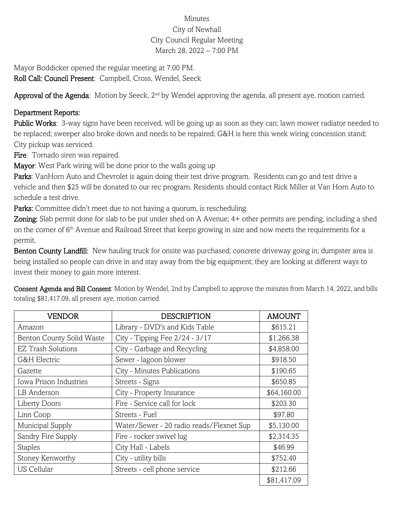## Minutes City of Newhall City Council Regular Meeting March 28, 2022 – 7:00 PM

Mayor Boddicker opened the regular meeting at 7:00 PM. Roll Call: Council Present: Campbell, Cross, Wendel, Seeck

Approval of the Agenda: Motion by Seeck, 2<sup>nd</sup> by Wendel approving the agenda, all present aye, motion carried.

## Department Reports:

Public Works: 3-way signs have been received, will be going up as soon as they can; lawn mower radiator needed to be replaced; sweeper also broke down and needs to be repaired; G&H is here this week wiring concession stand; City pickup was serviced.

Fire: Tornado siren was repaired.

Mayor: West Park wiring will be done prior to the walls going up

Parks: VanHorn Auto and Chevrolet is again doing their test drive program. Residents can go and test drive a vehicle and then \$25 will be donated to our rec program. Residents should contact Rick Miller at Van Horn Auto to schedule a test drive.

Parks: Committee didn't meet due to not having a quorum, is rescheduling.

Zoning: Slab permit done for slab to be put under shed on A Avenue; 4+ other permits are pending, including a shed on the corner of 6th Avenue and Railroad Street that keeps growing in size and now meets the requirements for a permit.

Benton County Landfill: New hauling truck for onsite was purchased; concrete driveway going in; dumpster area is being installed so people can drive in and stay away from the big equipment; they are looking at different ways to invest their money to gain more interest.

Consent Agenda and Bill Consent: Motion by Wendel, 2nd by Campbell to approve the minutes from March 14, 2022, and bills totaling \$81,417.09, all present aye, motion carried.

| VENDOR                    | <b>DESCRIPTION</b>                       | <b>AMOUNT</b> |
|---------------------------|------------------------------------------|---------------|
| Amazon                    | Library - DVD's and Kids Table           | \$615.21      |
| Benton County Solid Waste | City - Tipping Fee 2/24 - 3/17           | \$1,266.38    |
| <b>EZ Trash Solutions</b> | City - Garbage and Recycling             | \$4,858.00    |
| G&H Electric              | Sewer - lagoon blower                    | \$918.50      |
| Gazette                   | City - Minutes Publications              | \$190.65      |
| Iowa Prison Industries    | Streets - Signs                          | \$650.85      |
| LB Anderson               | City - Property Insurance                | \$64,160.00   |
| <b>Liberty Doors</b>      | Fire - Service call for lock             | \$203.30      |
| Linn Coop                 | Streets - Fuel                           | \$97.80       |
| Municipal Supply          | Water/Sewer - 20 radio reads/Flexnet Sup | \$5,130.00    |
| Sandry Fire Supply        | Fire - rocker swivel lug                 | \$2,314.35    |
| <b>Staples</b>            | City Hall - Labels                       | \$46.99       |
| Stoney Kenworthy          | City - utility bills                     | \$752.40      |
| <b>US Cellular</b>        | Streets - cell phone service             | \$212.66      |
|                           |                                          | \$81,417.09   |